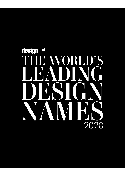# designetal S  $\blacksquare$ 2020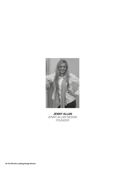

 **JENNY ALLAN** JENNY ALLAN DESIGN FOUNDER

**62 The World's Leading Design Names**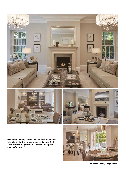

A **III** 

**"The balance and proportion of a space also needs to be right. I believe how a space makes you feel is the determining factor in whether a design is successful or not."**



 **The World's Leading Design Names 63**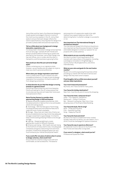Jenny Allan and her team of professional designers create opulent and elegant interiors in some of the most luxurious spaces in the UK. Jenny Allan seeks to ensure that each design reflects the client's specifications, ensuring that her design firm provides a pleasurable and practical experience.

### **Tell us a little about your background in design (education, experience, etc)**

I've always been interested in design and properties from an early age. I started off with friends and family's projects before furthering my career and starting my own business. Jenny Allan Design now has two offices, one in London and the other in Hampshire, and the business is growing further.

### **How would you describe your personal design style?**

Classic contemporary is our signature style; however, we are flexible and can adapt our style to meet any client's personal preference.

### **Where does your design inspiration come from?**

I live in London and it is such a vibrant city with incredible architecture, it's easy to pick up design inspiration from anywhere. It's hard to switch off from designing sometimes.

### **In what direction do you feel that design is moving towards in a general sense?**

Everything is becoming more and more bespoke. Clients are asking for one off unique pieces that no one else can buy and will make their home even more personal to them.

### **Name five key themes to consider when approaching design in 2020 and beyond.**

**1.** Spaces should be liveable and practical. With the advancements in fabrics this is now achievable whilst still looking stylish.

**2.** Technology - With the fast pace of technology, including the best and most effective features to make the most of what's available.

**3.** Storage – Busy lives can mean lots of items can be accumulated and ensuring a home has adequate storage is essential to a good design. It is hard to keep a home looking amazing if there is not enough storage.

**4.** Lighting – Designing lighting to create

appropriate moods for different lifestyles. **5.** Enhance well-being – With health and well-being at the forefront of many client's lives, including spas complexes and gyms is becoming more and more prevalent. A beautifully designed space can very much enhance your mental and physical health.

### **If you could offer one piece of advice when it comes to design schemes, what would it be?**

Ensure that the scheme is easy to live with and comfortable, as well as beautiful. The balance

and proportion of a space also needs to be right. I believe how a space makes you feel is the determining factor in whether a design is successful or not.

### **How important are The International Design & Architecture Awards?**

The International Design & Architecture Awards are very important as they showcase the best of design and enable designers to share our passion for our projects with a wide audience.

# **What projects are you currently working on?**

We have a number of exciting projects at the moment with many others in the pipeline. Including a prestigious renovation in Knightsbridge, a country home in Buckinghamshire, and others internationally.

### **What are your aims and goals for the next twelve months?**

My aim is to continue growing the business whilst providing our clients with the level of service and design that they have come to expect.

### **Final thoughts; tell us a little more about yourself and your daily inspirations:**

### **Your most treasured possession?**

My horse, who I have owned for many years.

### **Your favourite holiday destination?**

New York, I love the city and of course the shopping.

# **Your favourite hotel, restaurant & bar?**

Hotel – Four Seasons, Hampshire. Restaurant – Chiltern Firehouse. Bar – Monarch rooftop bar, New York, it has amazing views of the Empire State Building.

### **Your favourite book, film & song?**

Book – Pride and Prejudice. Film – Good Will Hunting. Song – Happy by Pharrell.

## **Your favourite food and drink?**

My favourite meal is a traditional home-cooked Sunday roast with my family, you can't beat it. For a drink it must be champagne on special occasions.

### **Your favourite way to spend an afternoon?**

At weekends I love to ride out on my horse in the New Forest and relax after a long week.

# **If you weren't a designer, what would you be?**

Professional Equestrian Rider.